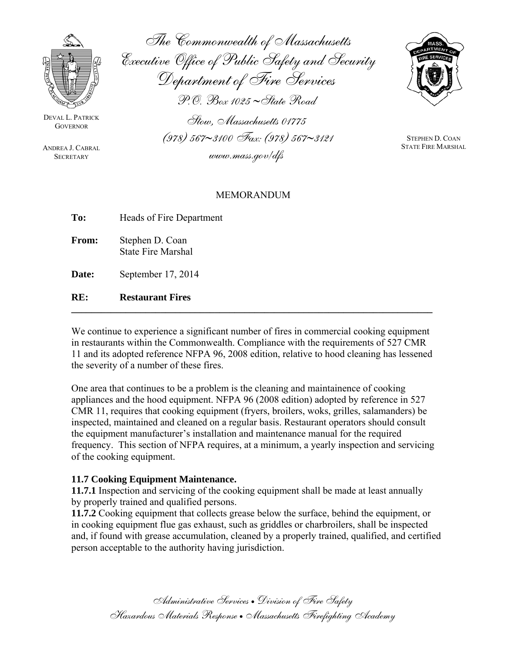

DEVAL L. PATRICK **GOVERNOR** 

ANDREA J. CABRAL **SECRETARY** 

The Commonwealth of Massachusetts Executive Office of Public Safety and Security Department of Fire Services P.O. Box 1025 ∼State Road Stow, Massachusetts 01775

(978) 567∼3100 Fax: (978) 567∼3121

www.mass.gov/dfs



STEPHEN D. COAN STATE FIRE MARSHAL

## MEMORANDUM

| To:          | Heads of Fire Department                     |
|--------------|----------------------------------------------|
| <b>From:</b> | Stephen D. Coan<br><b>State Fire Marshal</b> |
| Date:        | September 17, 2014                           |

**RE: Restaurant Fires** 

We continue to experience a significant number of fires in commercial cooking equipment in restaurants within the Commonwealth. Compliance with the requirements of 527 CMR 11 and its adopted reference NFPA 96, 2008 edition, relative to hood cleaning has lessened the severity of a number of these fires.

**\_\_\_\_\_\_\_\_\_\_\_\_\_\_\_\_\_\_\_\_\_\_\_\_\_\_\_\_\_\_\_\_\_\_\_\_\_\_\_\_\_\_\_\_\_\_\_\_\_\_\_\_\_\_\_\_\_\_\_\_\_\_\_\_\_\_\_\_\_\_\_\_\_**

One area that continues to be a problem is the cleaning and maintainence of cooking appliances and the hood equipment. NFPA 96 (2008 edition) adopted by reference in 527 CMR 11, requires that cooking equipment (fryers, broilers, woks, grilles, salamanders) be inspected, maintained and cleaned on a regular basis. Restaurant operators should consult the equipment manufacturer's installation and maintenance manual for the required frequency. This section of NFPA requires, at a minimum, a yearly inspection and servicing of the cooking equipment.

## **11.7 Cooking Equipment Maintenance.**

**11.7.1** Inspection and servicing of the cooking equipment shall be made at least annually by properly trained and qualified persons.

**11.7.2** Cooking equipment that collects grease below the surface, behind the equipment, or in cooking equipment flue gas exhaust, such as griddles or charbroilers, shall be inspected and, if found with grease accumulation, cleaned by a properly trained, qualified, and certified person acceptable to the authority having jurisdiction.

> Administrative Services • Division of Fire Safety Hazardous Materials Response • Massachusetts Firefighting Academy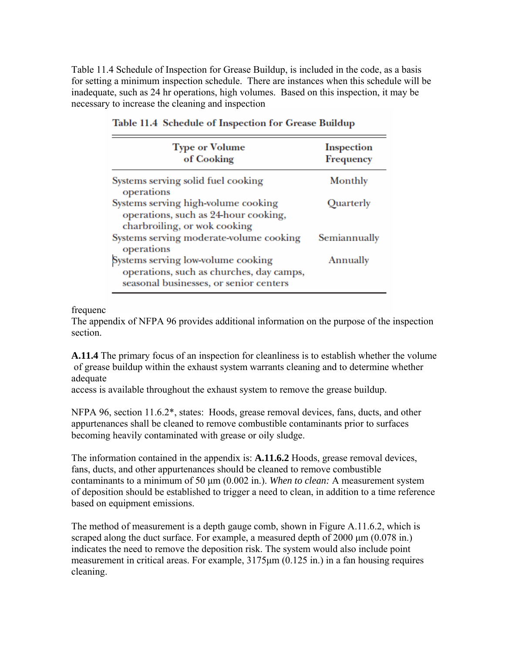Table 11.4 Schedule of Inspection for Grease Buildup, is included in the code, as a basis for setting a minimum inspection schedule. There are instances when this schedule will be inadequate, such as 24 hr operations, high volumes. Based on this inspection, it may be necessary to increase the cleaning and inspection

| <b>Type or Volume</b><br>of Cooking                                                                                      | <b>Inspection</b><br>Frequency |
|--------------------------------------------------------------------------------------------------------------------------|--------------------------------|
| Systems serving solid fuel cooking<br>operations                                                                         | Monthly                        |
| Systems serving high-volume cooking<br>operations, such as 24-hour cooking,<br>charbroiling, or wok cooking              | Quarterly                      |
| Systems serving moderate-volume cooking<br>operations                                                                    | Semiannually                   |
| Systems serving low-volume cooking<br>operations, such as churches, day camps,<br>seasonal businesses, or senior centers | Annually                       |

## Table 11.4 Schedule of Inspection for Grease Buildup

frequenc

The appendix of NFPA 96 provides additional information on the purpose of the inspection section.

**A.11.4** The primary focus of an inspection for cleanliness is to establish whether the volume of grease buildup within the exhaust system warrants cleaning and to determine whether adequate

access is available throughout the exhaust system to remove the grease buildup.

NFPA 96, section 11.6.2\*, states: Hoods, grease removal devices, fans, ducts, and other appurtenances shall be cleaned to remove combustible contaminants prior to surfaces becoming heavily contaminated with grease or oily sludge.

The information contained in the appendix is: **A.11.6.2** Hoods, grease removal devices, fans, ducts, and other appurtenances should be cleaned to remove combustible contaminants to a minimum of 50 μm (0.002 in.). *When to clean:* A measurement system of deposition should be established to trigger a need to clean, in addition to a time reference based on equipment emissions.

The method of measurement is a depth gauge comb, shown in Figure A.11.6.2, which is scraped along the duct surface. For example, a measured depth of 2000 μm (0.078 in.) indicates the need to remove the deposition risk. The system would also include point measurement in critical areas. For example, 3175μm (0.125 in.) in a fan housing requires cleaning.